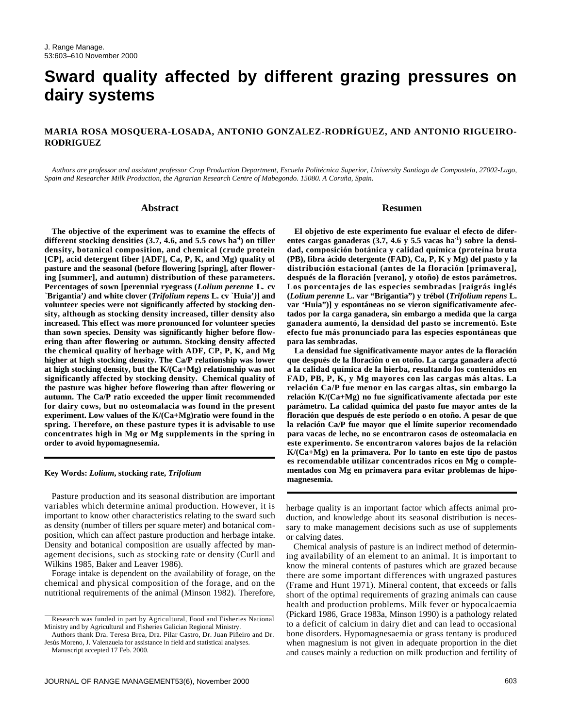# **Sward quality affected by different grazing pressures on dairy systems**

# **MARIA ROSA MOSQUERA-LOSADA, ANTONIO GONZALEZ-RODRÍGUEZ, AND ANTONIO RIGUEIRO-RODRIGUEZ**

*Authors are professor and assistant professor Crop Production Department, Escuela Politécnica Superior, University Santiago de Compostela, 27002-Lugo, Spain and Researcher Milk Production, the Agrarian Research Centre of Mabegondo. 15080. A Coruña, Spain.*

#### **Abstract**

**The objective of the experiment was to examine the effects of** different stocking densities  $(3.7, 4.6, \text{ and } 5.5 \text{ cows ha}^{-1})$  on tiller **density, botanical composition, and chemical (crude protein [CP], acid detergent fiber [ADF], Ca, P, K, and Mg) quality of pasture and the seasonal (before flowering [spring], after flowering [summer], and autumn) distribution of these parameters. Percentages of sown [perennial ryegrass (***Lolium perenne* **L***.* **c v `Brigantia'***)* **and white clover (***Trifolium repens* **L. cv `Huia'***)***] and volunteer species were not significantly affected by stocking density, although as stocking density increased, tiller density also increased. This effect was more pronounced for volunteer species than sown species. Density was significantly higher before flowering than after flowering or autumn. Stocking density affected the chemical quality of herbage with ADF, CP, P, K, and Mg higher at high stocking density. The Ca/P relationship was lower at high stocking density, but the K/(Ca+Mg) relationship was not significantly affected by stocking density. Chemical quality of the pasture was higher before flowering than after flowering or autumn. The Ca/P ratio exceeded the upper limit recommended for dairy cows, but no osteomalacia was found in the present experiment. Low values of the K/(Ca+Mg)ratio were found in the spring. Therefore, on these pasture types it is advisable to use concentrates high in Mg or Mg supplements in the spring in order to avoid hypomagnesemia.**

#### **Key Words:** *Lolium***, stocking rate,** *Trifolium*

Pasture production and its seasonal distribution are important variables which determine animal production. However, it is important to know other characteristics relating to the sward such as density (number of tillers per square meter) and botanical composition, which can affect pasture production and herbage intake. Density and botanical composition are usually affected by management decisions, such as stocking rate or density (Curll and Wilkins 1985, Baker and Leaver 1986).

Forage intake is dependent on the availability of forage, on the chemical and physical composition of the forage, and on the nutritional requirements of the animal (Minson 1982). Therefore,

#### **Resumen**

**El objetivo de este experimento fue evaluar el efecto de diferentes cargas ganaderas (3.7, 4.6 y 5.5 vacas ha-1) sobre la densidad, composición botánica y calidad química (proteína bruta (PB), fibra ácido detergente (FAD), Ca, P, K y Mg) del pasto y la distribución estacional (antes de la floración [primavera], después de la floración [verano], y otoño) de estos parámetros. Los porcentajes de las especies sembradas [raigrás inglés (***Lolium perenne* **L. var "Brigantia") y trébol (***Trifolium repens* **L. var 'Huia")] y espontáneas no se vieron significativamente afectados por la carga ganadera, sin embargo a medida que la carga ganadera aumentó, la densidad del pasto se incrementó. Este efecto fue más pronunciado para las especies espontáneas que para las sembradas.**

**La densidad fue significativamente mayor antes de la floración que después de la floración o en otoño. La carga ganadera afectó a la calidad química de la hierba, resultando los contenidos en FAD, PB, P, K, y Mg mayores con las cargas más altas. La relación Ca/P fue menor en las cargas altas, sin embargo la relación K/(Ca+Mg) no fue significativamente afectada por este parámetro. La calidad química del pasto fue mayor antes de la floración que después de este período o en otoño. A pesar de que la relación Ca/P fue mayor que el límite superior recomendado para vacas de leche, no se encontraron casos de osteomalacia en este experimento. Se encontraron valores bajos de la relación K/(Ca+Mg) en la primavera. Por lo tanto en este tipo de pastos es recomendable utilizar concentrados ricos en Mg o complementados con Mg en primavera para evitar problemas de hipomagnesemia.**

herbage quality is an important factor which affects animal production, and knowledge about its seasonal distribution is necessary to make management decisions such as use of supplements or calving dates.

Chemical analysis of pasture is an indirect method of determining availability of an element to an animal. It is important to know the mineral contents of pastures which are grazed because there are some important differences with ungrazed pastures (Frame and Hunt 1971). Mineral content, that exceeds or falls short of the optimal requirements of grazing animals can cause health and production problems. Milk fever or hypocalcaemia (Pickard 1986, Grace 1983a, Minson 1990) is a pathology related to a deficit of calcium in dairy diet and can lead to occasional bone disorders. Hypomagnesaemia or grass tentany is produced when magnesium is not given in adequate proportion in the diet and causes mainly a reduction on milk production and fertility of

Research was funded in part by Agricultural, Food and Fisheries National Ministry and by Agricultural and Fisheries Galician Regional Ministry.

Authors thank Dra. Teresa Brea, Dra. Pilar Castro, Dr. Juan Piñeiro and Dr. Jesús Moreno, J. Valenzuela for assistance in field and statistical analyses. Manuscript accepted 17 Feb. 2000.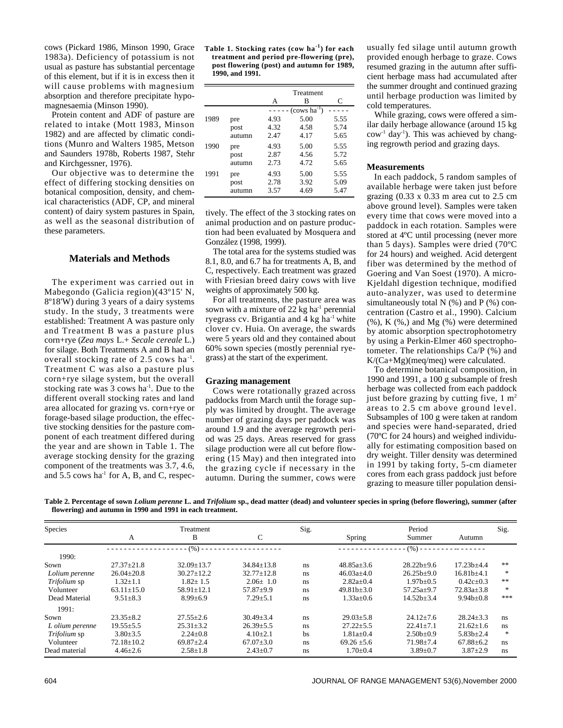cows (Pickard 1986, Minson 1990, Grace 1983a). Deficiency of potassium is not usual as pasture has substantial percentage of this element, but if it is in excess then it will cause problems with magnesium absorption and therefore precipitate hypomagnesaemia (Minson 1990).

Protein content and ADF of pasture are related to intake (Mott 1983, Minson 1982) and are affected by climatic conditions (Munro and Walters 1985, Metson and Saunders 1978b, Roberts 1987, Stehr and Kirchgessner, 1976).

Our objective was to determine the effect of differing stocking densities on botanical composition, density, and chemical characteristics (ADF, CP, and mineral content) of dairy system pastures in Spain, as well as the seasonal distribution of these parameters.

## **Materials and Methods**

The experiment was carried out in Mabegondo (Galicia region)(43º15' N, 8º18'W) during 3 years of a dairy systems study. In the study, 3 treatments were established: Treatment A was pasture only and Treatment B was a pasture plus corn+rye (Zea mays L.+ Secale cereale L.) for silage. Both Treatments A and B had an overall stocking rate of 2.5 cows ha $^{-1}$ . Treatment C was also a pasture plus corn+rye silage system, but the overall stocking rate was  $3 \text{ cows } ha^{-1}$ . Due to the different overall stocking rates and land area allocated for grazing vs. corn+rye or forage-based silage production, the effective stocking densities for the pasture component of each treatment differed during the year and are shown in Table 1. The average stocking density for the grazing component of the treatments was 3.7, 4.6, and  $5.5$  cows ha<sup>-1</sup> for A, B, and C, respecTable 1. Stocking rates (cow ha<sup>-1</sup>) for each **treatment and period pre-flowering (pre), post flowering (post) and autumn for 1989, 1990, and 1991.**

|      |        |      | Treatment                    |      |
|------|--------|------|------------------------------|------|
|      |        | A    | B                            | C    |
|      |        |      | $-$ (cows ha <sup>-1</sup> ) |      |
| 1989 | pre    | 4.93 | 5.00                         | 5.55 |
|      | post   | 4.32 | 4.58                         | 5.74 |
|      | autumn | 2.47 | 4.17                         | 5.65 |
| 1990 | pre    | 4.93 | 5.00                         | 5.55 |
|      | post   | 2.87 | 4.56                         | 5.72 |
|      | autumn | 2.73 | 4.72                         | 5.65 |
| 1991 | pre    | 4.93 | 5.00                         | 5.55 |
|      | post   | 2.78 | 3.92                         | 5.09 |
|      | autumn | 3.57 | 4.69                         | 5.47 |

tively. The effect of the 3 stocking rates on animal production and on pasture production had been evaluated by Mosquera and González (1998, 1999).

The total area for the systems studied was 8.1, 8.0, and 6.7 ha for treatments A, B, and C, respectively. Each treatment was grazed with Friesian breed dairy cows with live weights of approximately 500 kg.

For all treatments, the pasture area was sown with a mixture of 22 kg ha $^{-1}$  perennial ryegrass cv. Brigantia and  $4 \text{ kg}$  ha<sup>-1</sup> white clover cv. Huia. On average, the swards were 5 years old and they contained about 60% sown species (mostly perennial ryegrass) at the start of the experiment.

#### **Grazing management**

Cows were rotationally grazed across paddocks from March until the forage supply was limited by drought. The average number of grazing days per paddock was around 1.9 and the average regrowth period was 25 days. Areas reserved for grass silage production were all cut before flowering (15 May) and then integrated into the grazing cycle if necessary in the autumn. During the summer, cows were

usually fed silage until autumn growth provided enough herbage to graze. Cows resumed grazing in the autumn after sufficient herbage mass had accumulated after the summer drought and continued grazing until herbage production was limited by cold temperatures.

While grazing, cows were offered a similar daily herbage allowance (around 15 kg  $\text{cow}^{-1}$  day<sup>-1</sup>). This was achieved by changing regrowth period and grazing days.

## **Measurements**

In each paddock, 5 random samples of available herbage were taken just before grazing  $(0.33 \times 0.33 \text{ m}$  area cut to 2.5 cm above ground level). Samples were taken every time that cows were moved into a paddock in each rotation. Samples were stored at 4ºC until processing (never more than 5 days). Samples were dried (70ºC for 24 hours) and weighed. Acid detergent fiber was determined by the method of Goering and Van Soest (1970). A micro-Kjeldahl digestion technique, modified auto-analyzer, was used to determine simultaneously total  $N$  (%) and  $P$  (%) concentration (Castro et al., 1990). Calcium  $(\%)$ , K $(\%)$ , and Mg $(\%)$  were determined by atomic absorption spectrophotometry by using a Perkin-Elmer 460 spectrophotometer. The relationships Ca/P (%) and K/(Ca+Mg)(meq/meq) were calculated.

To determine botanical composition, in 1990 and 1991, a 100 g subsample of fresh herbage was collected from each paddock just before grazing by cutting five,  $1 \text{ m}^2$ areas to 2.5 cm above ground level. Subsamples of 100 g were taken at random and species were hand-separated, dried (70ºC for 24 hours) and weighed individually for estimating composition based on dry weight. Tiller density was determined in 1991 by taking forty, 5-cm diameter cores from each grass paddock just before grazing to measure tiller population densi-

**Table 2. Percentage of sown** *Lolium perenne* **L. and** *Trifolium* **sp., dead matter (dead) and volunteer species in spring (before flowering), summer (after flowering) and autumn in 1990 and 1991 in each treatment.**

| <b>Species</b>  | Treatment        |                  |                  | Sig. |                        | Period           |                  | Sig. |
|-----------------|------------------|------------------|------------------|------|------------------------|------------------|------------------|------|
|                 | A                | B                | C                |      | Spring                 | Summer           | Autumn           |      |
|                 |                  | $(%) -$          |                  |      |                        | $ (\% )$ –       |                  |      |
| 1990:           |                  |                  |                  |      |                        |                  |                  |      |
| Sown            | $27.37 \pm 21.8$ | $32.09 \pm 13.7$ | $34.84 \pm 13.8$ | ns   | $48.85a+3.6$           | $28.22h+9.6$     | $17.23h + 4.4$   | **   |
| Lolium perenne  | $26.04 \pm 20.8$ | $30.27 + 12.2$   | $32.77 + 12.8$   | ns   | $46.03a{\pm}4.0$       | $26.25b+9.0$     | $16.81b \pm 4.1$ | *    |
| Trifolium sp    | $1.32 + 1.1$     | $1.82 \pm 1.5$   | $2.06+1.0$       | ns   | $2.82a \pm 0.4$        | $1.97b+0.5$      | $0.42c \pm 0.3$  | **   |
| Volunteer       | $63.11 \pm 15.0$ | $58.91 \pm 12.1$ | $57.87 \pm 9.9$  | ns   | 49.81 <sub>b±3.0</sub> | $57.25a + 9.7$   | $72.83a \pm 3.8$ | *    |
| Dead Material   | $9.51 \pm 8.3$   | $8.99 \pm 6.9$   | $7.29 \pm 5.1$   | ns   | $1.33a \pm 0.6$        | $14.52b \pm 3.4$ | $9.94b \pm 0.8$  | ***  |
| 1991:           |                  |                  |                  |      |                        |                  |                  |      |
| Sown            | $23.35 \pm 8.2$  | $27.55 + 2.6$    | $30.49 + 3.4$    | ns   | $29.03 \pm 5.8$        | $24.12 + 7.6$    | $28.24 + 3.3$    | ns   |
| L olium perenne | $19.55 \pm 5.5$  | $25.31 \pm 3.2$  | $26.39 \pm 5.5$  | ns   | $27.22 \pm 5.5$        | $22.41 \pm 7.1$  | $21.62+1.6$      | ns.  |
| Trifolium sp    | $3.80 + 3.5$     | $2.24 \pm 0.8$   | $4.10 \pm 2.1$   | bs   | $1.81a \pm 0.4$        | $2.50b \pm 0.9$  | $5.83b{\pm}2.4$  | *    |
| Volunteer       | $72.18 \pm 10.2$ | $69.87 \pm 2.4$  | $67.07 \pm 3.0$  | ns   | $69.26 \pm 5.6$        | $71.98 \pm 7.4$  | $67.88 \pm 6.2$  | ns   |
| Dead material   | $4.46 \pm 2.6$   | $2.58 \pm 1.8$   | $2.43 \pm 0.7$   | ns   | $1.70 \pm 0.4$         | $3.89 \pm 0.7$   | $3.87 \pm 2.9$   | ns   |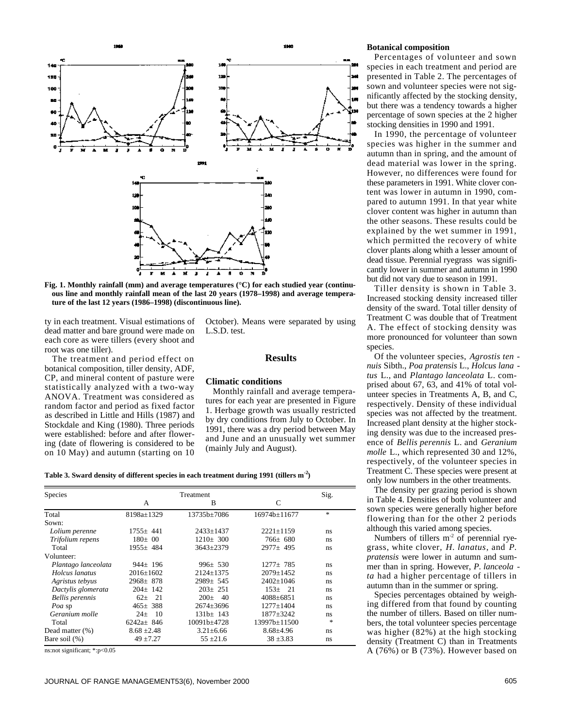

Fig. 1. Monthly rainfall (mm) and average temperatures (°C) for each studied year (continu**ous line and monthly rainfall mean of the last 20 years (1978–1998) and average temperature of the last 12 years (1986–1998) (discontinuous line).**

ty in each treatment. Visual estimations of dead matter and bare ground were made on each core as were tillers (every shoot and root was one tiller).

The treatment and period effect on botanical composition, tiller density, ADF, CP, and mineral content of pasture were statistically analyzed with a two-way ANOVA. Treatment was considered as random factor and period as fixed factor as described in Little and Hills (1987) and Stockdale and King (1980). Three periods were established: before and after flowering (date of flowering is considered to be on 10 May) and autumn (starting on 10

October). Means were separated by using L.S.D. test.

#### **Results**

#### **Climatic conditions**

Monthly rainfall and average temperatures for each year are presented in Figure 1. Herbage growth was usually restricted by dry conditions from July to October. In 1991, there was a dry period between May and June and an unusually wet summer (mainly July and August).

**Table 3. Sward density of different species in each treatment during 1991 (tillers m-2)**

| Species                |                 |                 | Sig.            |        |
|------------------------|-----------------|-----------------|-----------------|--------|
|                        | A               | B               | C               |        |
| Total                  | 8198a±1329      | 13735b±7086     | 16974b±11677    | $\ast$ |
| Sown:                  |                 |                 |                 |        |
| Lolium perenne         | $1755 \pm 441$  | $2433 \pm 1437$ | $2221 \pm 1159$ | ns     |
| Trifolium repens       | $180 \pm 00$    | $1210 \pm 300$  | $766 \pm 680$   | ns     |
| Total                  | $1955 \pm 484$  | $3643 \pm 2379$ | $2977 \pm 495$  | ns     |
| Volunteer:             |                 |                 |                 |        |
| Plantago lanceolata    | $944 \pm 196$   | $996 \pm 530$   | $1277+785$      | ns     |
| Holcus lanatus         | $2016 \pm 1602$ | $2124 \pm 1375$ | 2079±1452       | ns     |
| Agristus tebyus        | $2968 \pm 878$  | $2989 \pm 545$  | $2402 \pm 1046$ | ns     |
| Dactylis glomerata     | $204+142$       | $203+251$       | $153 \pm 21$    | ns     |
| <b>Bellis</b> perennis | $62 \pm 21$     | $200+$<br>40    | $4088 + 6851$   | ns     |
| Poa sp                 | $465 \pm 388$   | $2674 \pm 3696$ | $1277+1404$     | ns     |
| Geranium molle         | -10<br>$24+$    | $131b \pm 143$  | $1877 + 3242$   | ns     |
| Total                  | $6242a \pm 846$ | 10091b±4728     | 13997b±11500    | *      |
| Dead matter (%)        | $8.68 \pm 2.48$ | $3.21 \pm 6.66$ | $8.68{\pm}4.96$ | ns     |
| Bare soil (%)          | $49 + 7.27$     | $55 \pm 21.6$   | $38 + 3.83$     | ns     |

ns:not significant; \*:p<0.05

#### **Botanical composition**

Percentages of volunteer and sown species in each treatment and period are presented in Table 2. The percentages of sown and volunteer species were not significantly affected by the stocking density, but there was a tendency towards a higher percentage of sown species at the 2 higher stocking densities in 1990 and 1991.

In 1990, the percentage of volunteer species was higher in the summer and autumn than in spring, and the amount of dead material was lower in the spring. However, no differences were found for these parameters in 1991. White clover content was lower in autumn in 1990, compared to autumn 1991. In that year white clover content was higher in autumn than the other seasons. These results could be explained by the wet summer in 1991, which permitted the recovery of white clover plants along whith a lesser amount of dead tissue. Perennial ryegrass was significantly lower in summer and autumn in 1990 but did not vary due to season in 1991.

Tiller density is shown in Table 3. Increased stocking density increased tiller density of the sward. Total tiller density of Treatment C was double that of Treatment A. The effect of stocking density was more pronounced for volunteer than sown species.

Of the volunteer species, *Agrostis ten nuis* Sibth., *Poa pratensis* L., *Holcus lana tus* L., and *Plantago lanceolata* L. comprised about 67, 63, and 41% of total volunteer species in Treatments A, B, and C, respectively. Density of these individual species was not affected by the treatment. Increased plant density at the higher stocking density was due to the increased presence of *Bellis perennis* L. and *Geranium molle* L., which represented 30 and 12%, respectively, of the volunteer species in Treatment C. These species were present at only low numbers in the other treatments.

The density per grazing period is shown in Table 4. Densities of both volunteer and sown species were generally higher before flowering than for the other 2 periods although this varied among species.

Numbers of tillers  $m<sup>2</sup>$  of perennial ryegrass, white clover, *H. lanatus*, and *P . pratensis* were lower in autumn and summer than in spring. However, *P. lanceola*  ta had a higher percentage of tillers in autumn than in the summer or spring.

Species percentages obtained by weighing differed from that found by counting the number of tillers. Based on tiller numbers, the total volunteer species percentage was higher (82%) at the high stocking density (Treatment C) than in Treatments A (76%) or B (73%). However based on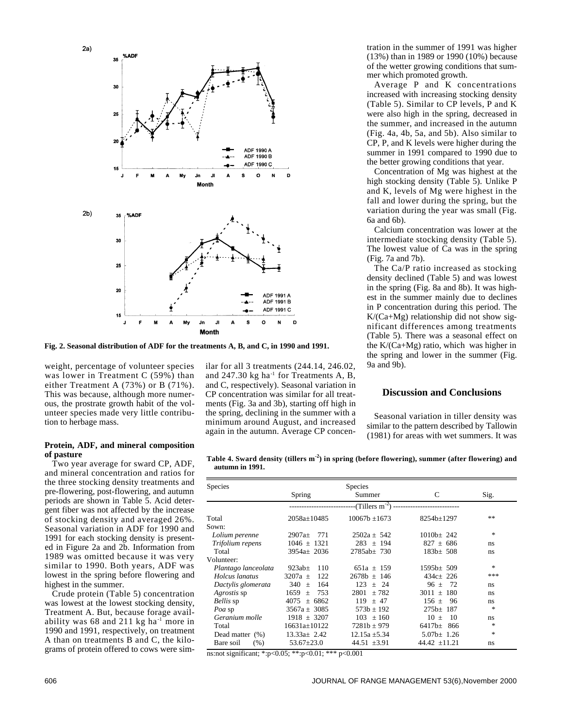

**Fig. 2. Seasonal distribution of ADF for the treatments A, B, and C, in 1990 and 1991.**

weight, percentage of volunteer species was lower in Treatment C (59%) than either Treatment A (73%) or B (71%). This was because, although more numerous, the prostrate growth habit of the volunteer species made very little contribution to herbage mass.

### **Protein, ADF, and mineral composition of pasture**

Two year average for sward CP, ADF, and mineral concentration and ratios for the three stocking density treatments and pre-flowering, post-flowering, and autumn periods are shown in Table 5. Acid detergent fiber was not affected by the increase of stocking density and averaged 26%. Seasonal variation in ADF for 1990 and 1991 for each stocking density is presented in Figure 2a and 2b. Information from 1989 was omitted because it was very similar to 1990. Both years, ADF was lowest in the spring before flowering and highest in the summer.

Crude protein (Table 5) concentration was lowest at the lowest stocking density, Treatment A. But, because forage availability was  $68$  and  $211$  kg ha<sup>-1</sup> more in 1990 and 1991, respectively, on treatment A than on treatments B and C, the kilograms of protein offered to cows were similar for all 3 treatments (244.14, 246.02, and  $247.30 \text{ kg}$  ha<sup>-1</sup> for Treatments A, B, and C, respectively). Seasonal variation in CP concentration was similar for all treatments (Fig. 3a and 3b), starting off high in the spring, declining in the summer with a minimum around August, and increased again in the autumn. Average CP concentration in the summer of 1991 was higher (13%) than in 1989 or 1990 (10%) because of the wetter growing conditions that summer which promoted growth.

Average P and K concentrations increased with increasing stocking density (Table 5). Similar to CP levels, P and K were also high in the spring, decreased in the summer, and increased in the autumn (Fig. 4a, 4b, 5a, and 5b). Also similar to CP, P, and K levels were higher during the summer in 1991 compared to 1990 due to the better growing conditions that year.

Concentration of Mg was highest at the high stocking density (Table 5). Unlike P and K, levels of Mg were highest in the fall and lower during the spring, but the variation during the year was small (Fig. 6a and 6b).

Calcium concentration was lower at the intermediate stocking density (Table 5). The lowest value of Ca was in the spring (Fig. 7a and 7b).

The Ca/P ratio increased as stocking density declined (Table 5) and was lowest in the spring (Fig. 8a and 8b). It was highest in the summer mainly due to declines in P concentration during this period. The K/(Ca+Mg) relationship did not show significant differences among treatments (Table 5). There was a seasonal effect on the K/(Ca+Mg) ratio, which was higher in the spring and lower in the summer (Fig. 9a and 9b).

## **Discussion and Conclusions**

Seasonal variation in tiller density was similar to the pattern described by Tallowin (1981) for areas with wet summers. It was

**Table 4. Sward density (tillers m<sup>-2</sup>) in spring (before flowering), summer (after flowering) and autumn in 1991.**

| <b>Species</b>      |                     | <b>Species</b>                      |                   |        |
|---------------------|---------------------|-------------------------------------|-------------------|--------|
|                     | Spring              | Summer                              | C                 | Sig.   |
|                     |                     | ---------(Tillers m <sup>-2</sup> ) |                   |        |
| Total               | $2058a+10485$       | $10067h + 1673$                     | 8254b±1297        | **     |
| Sown:               |                     |                                     |                   |        |
| Lolium perenne      | - 771<br>$2907a\pm$ | $2502a + 542$                       | $1010h+242$       | $\ast$ |
| Trifolium repens    | $1046 \pm 1321$     | $283 + 194$                         | $827 + 686$       | ns     |
| Total               | 3954a $\pm$ 2036    | $2785ab \pm 730$                    | $183b \pm 508$    | ns     |
| Volunteer:          |                     |                                     |                   |        |
| Plantago lanceolata | 110<br>$923ab+$     | $651a \pm 159$                      | $1595b \pm 509$   | $\ast$ |
| Holcus lanatus      | 122<br>$3207a +$    | $2678h + 146$                       | 434c $\pm$ 226    | ***    |
| Dactylis glomerata  | 340 $\pm$<br>164    | 123<br>$+24$                        | $96 +$<br>- 72    | ns     |
| <i>Agrostis</i> sp  | 753<br>1659<br>$+$  | $+782$<br>2801                      | $3011 + 180$      | ns     |
| <i>Bellis</i> sp    | 4075<br>$+6862$     | 119<br>$+47$                        | $156 +$<br>96     | ns     |
| Poa sp              | $3567a + 3085$      | $573h + 192$                        | $275b \pm 187$    | $\ast$ |
| Geranium molle      | $1918 + 3207$       | 103<br>$+160$                       | $10 +$<br>10      | ns     |
| Total               | $16631a+10122$      | $7281b \pm 979$                     | $6417h+$<br>866   | $\ast$ |
| Dead matter (%)     | $13.33a \pm 2.42$   | $12.15a \pm 5.34$                   | $5.07h+1.26$      | $\ast$ |
| Bare soil<br>(% )   | $53.67 \pm 23.0$    | 44.51 $\pm 3.91$                    | $44.42 \pm 11.21$ | ns     |

ns:not significant; \*:p<0.05; \*\*:p<0.01; \*\*\* p<0.001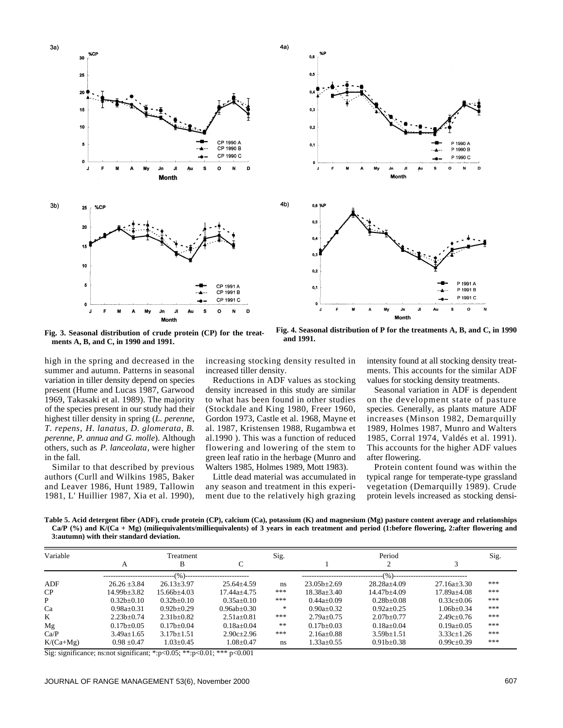

**Fig. 3. Seasonal distribution of crude protein (CP) for the treatments A, B, and C, in 1990 and 1991.**



high in the spring and decreased in the summer and autumn. Patterns in seasonal variation in tiller density depend on species present (Hume and Lucas 1987, Garwood 1969, Takasaki et al. 1989). The majority of the species present in our study had their highest tiller density in spring (*L. perenne*, *T. repens*, *H. lanatus, D. glomerata, B. perenne, P. annua and G. molle*). Although others, such as *P. lanceolata*, were higher in the fall.

Similar to that described by previous authors (Curll and Wilkins 1985, Baker and Leaver 1986, Hunt 1989, Tallowin 1981, L' Huillier 1987, Xia et al. 1990), increasing stocking density resulted in increased tiller density.

Reductions in ADF values as stocking density increased in this study are similar to what has been found in other studies (Stockdale and King 1980, Freer 1960, Gordon 1973, Castle et al. 1968, Mayne et al. 1987, Kristensen 1988, Rugambwa et al.1990 ). This was a function of reduced flowering and lowering of the stem to green leaf ratio in the herbage (Munro and Walters 1985, Holmes 1989, Mott 1983).

Little dead material was accumulated in any season and treatment in this experiment due to the relatively high grazing intensity found at all stocking density treatments. This accounts for the similar ADF values for stocking density treatments.

Seasonal variation in ADF is dependent on the development state of pasture species. Generally, as plants mature ADF increases (Minson 1982, Demarquilly 1989, Holmes 1987, Munro and Walters 1985, Corral 1974, Valdés et al. 1991). This accounts for the higher ADF values after flowering.

Protein content found was within the typical range for temperate-type grassland vegetation (Demarquilly 1989). Crude protein levels increased as stocking densi-

**Table 5. Acid detergent fiber (ADF), crude protein (CP), calcium (Ca), potassium (K) and magnesium (Mg) pasture content average and relationships Ca/P (%) and K/(Ca + Mg) (miliequivalents/milliequivalents) of 3 years in each treatment and period (1:before flowering, 2:after flowering and 3:autumn) with their standard deviation.**

| Variable    |                         | Treatment        |                   | Sig. |                  | Period           |                  | Sig. |
|-------------|-------------------------|------------------|-------------------|------|------------------|------------------|------------------|------|
|             | А                       | B                |                   |      |                  |                  |                  |      |
|             |                         | (0/2)            |                   |      |                  | $--(\%)^{n}$     |                  |      |
| ADF         | $26.26 + 3.84$          | $26.13 + 3.97$   | $25.64 + 4.59$    | ns   | $23.05h+2.69$    | $28.28a+4.09$    | $27.16a + 3.30$  | ***  |
| CP          | 14.99 <sub>b±3.82</sub> | $15.66h+4.03$    | $17.44a + 4.75$   | ***  | $18.38a + 3.40$  | $14.47b+4.09$    | $17.89a + 4.08$  | ***  |
| P           | $0.32b+0.10$            | $0.32b+0.10$     | $0.35a+0.10$      | ***  | $0.44a+0.09$     | $0.28b+0.08$     | $0.33c+0.06$     | ***  |
| Ca          | $0.98a \pm 0.31$        | $0.92b+0.29$     | $0.96ab \pm 0.30$ | *    | $0.90a+0.32$     | $0.92a+0.25$     | $1.06b \pm 0.34$ | ***  |
| K           | $2.23b+0.74$            | $2.31b \pm 0.82$ | $2.51a \pm 0.81$  | ***  | $2.79a+0.75$     | $2.07b+0.77$     | $2.49c \pm 0.76$ | ***  |
| Mg          | $0.17b \pm 0.05$        | $0.17b+0.04$     | $0.18a \pm 0.04$  | **   | $0.17h+0.03$     | $0.18a+0.04$     | $0.19a \pm 0.05$ | ***  |
| Ca/P        | $3.49a \pm 1.65$        | $3.17b \pm 1.51$ | $2.90c \pm 2.96$  | ***  | $2.16a \pm 0.88$ | $3.59b \pm 1.51$ | $3.33c \pm 1.26$ | ***  |
| $K/(Ca+Mg)$ | $0.98 + 0.47$           | $1.03 \pm 0.45$  | $1.08 + 0.47$     | ns   | $1.33a \pm 0.55$ | $0.91b \pm 0.38$ | $0.99c \pm 0.39$ | ***  |

Sig: significance; ns:not significant; \*:p<0.05; \*\*:p<0.01; \*\*\* p<0.001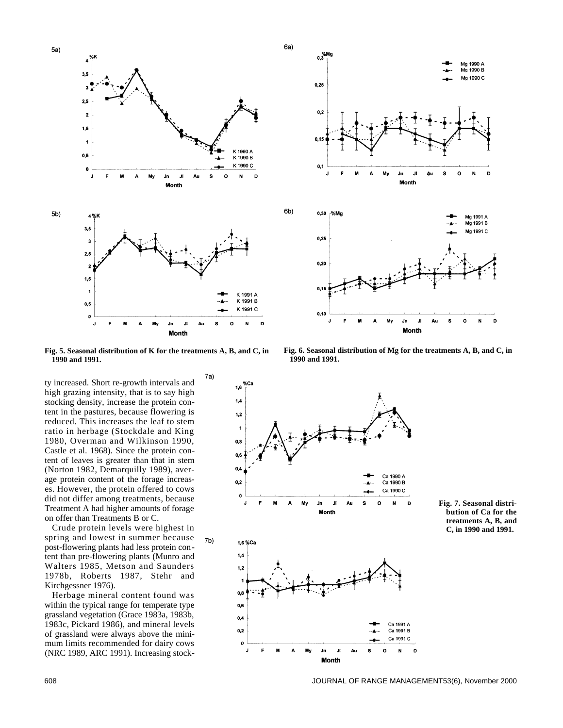

**Fig. 5. Seasonal distribution of K for the treatments A, B, and C, in 1990 and 1991.**

 $7a)$ 

ty increased. Short re-growth intervals and high grazing intensity, that is to say high stocking density, increase the protein content in the pastures, because flowering is reduced. This increases the leaf to stem ratio in herbage (Stockdale and King 1980, Overman and Wilkinson 1990, Castle et al. 1968). Since the protein content of leaves is greater than that in stem (Norton 1982, Demarquilly 1989), average protein content of the forage increases. However, the protein offered to cows did not differ among treatments, because Treatment A had higher amounts of forage on offer than Treatments B or C.

Crude protein levels were highest in spring and lowest in summer because post-flowering plants had less protein content than pre-flowering plants (Munro and Walters 1985, Metson and Saunders 1978b, Roberts 1987, Stehr and Kirchgessner 1976).

Herbage mineral content found was within the typical range for temperate type grassland vegetation (Grace 1983a, 1983b, 1983c, Pickard 1986), and mineral levels of grassland were always above the minimum limits recommended for dairy cows (NRC 1989, ARC 1991). Increasing stock-



**Fig. 6. Seasonal distribution of Mg for the treatments A, B, and C, in 1990 and 1991.**



**Month** 

**Fig. 7. Seasonal distribution of Ca for the treatments A, B, and C, in 1990 and 1991.**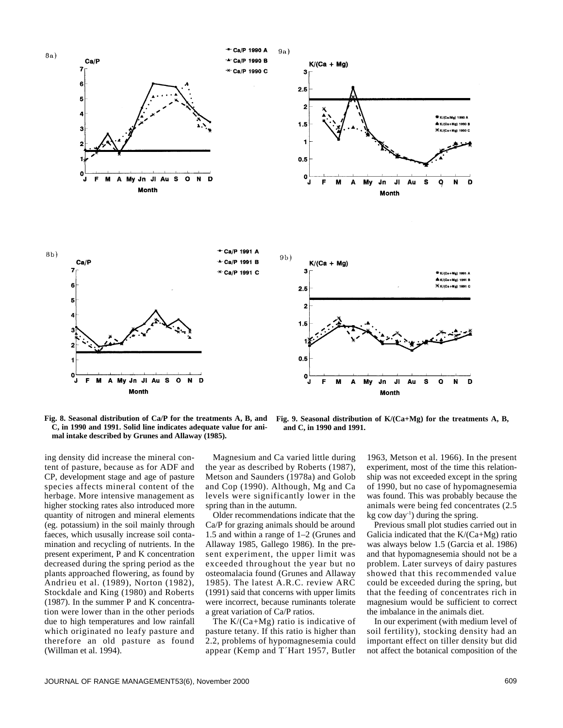

**Fig. 8. Seasonal distribution of Ca/P for the treatments A, B, and Fig. 9. Seasonal distribution of K/(Ca+Mg) for the treatments A, B, C, in 1990 and 1991. Solid line indicates adequate value for animal intake described by Grunes and Allaway (1985).**

**and C, in 1990 and 1991.**

ing density did increase the mineral content of pasture, because as for ADF and CP, development stage and age of pasture species affects mineral content of the herbage. More intensive management as higher stocking rates also introduced more quantity of nitrogen and mineral elements (eg. potassium) in the soil mainly through faeces, which ususally increase soil contamination and recycling of nutrients. In the present experiment, P and K concentration decreased during the spring period as the plants approached flowering, as found by Andrieu et al. (1989), Norton (1982), Stockdale and King (1980) and Roberts (1987). In the summer P and K concentration were lower than in the other periods due to high temperatures and low rainfall which originated no leafy pasture and therefore an old pasture as found (Willman et al. 1994).

Magnesium and Ca varied little during the year as described by Roberts (1987), Metson and Saunders (1978a) and Golob and Cop (1990). Although, Mg and Ca levels were significantly lower in the spring than in the autumn.

Older recommendations indicate that the Ca/P for grazing animals should be around 1.5 and within a range of 1–2 (Grunes and Allaway 1985, Gallego 1986). In the present experiment, the upper limit was exceeded throughout the year but no osteomalacia found (Grunes and Allaway 1985). The latest A.R.C. review ARC (1991) said that concerns with upper limits were incorrect, because ruminants tolerate a great variation of Ca/P ratios.

The  $K/(Ca+Mg)$  ratio is indicative of pasture tetany. If this ratio is higher than 2.2, problems of hypomagnesemia could appear (Kemp and T´Hart 1957, Butler

1963, Metson et al. 1966). In the present experiment, most of the time this relationship was not exceeded except in the spring of 1990, but no case of hypomagnesemia was found. This was probably because the animals were being fed concentrates (2.5  $kg \, \text{cow day}^{-1}$ ) during the spring.

Previous small plot studies carried out in Galicia indicated that the  $K/(Ca+Mg)$  ratio was always below 1.5 (Garcia et al. 1986) and that hypomagnesemia should not be a problem. Later surveys of dairy pastures showed that this recommended value could be exceeded during the spring, but that the feeding of concentrates rich in magnesium would be sufficient to correct the imbalance in the animals diet.

In our experiment (with medium level of soil fertility), stocking density had an important effect on tiller density but did not affect the botanical composition of the